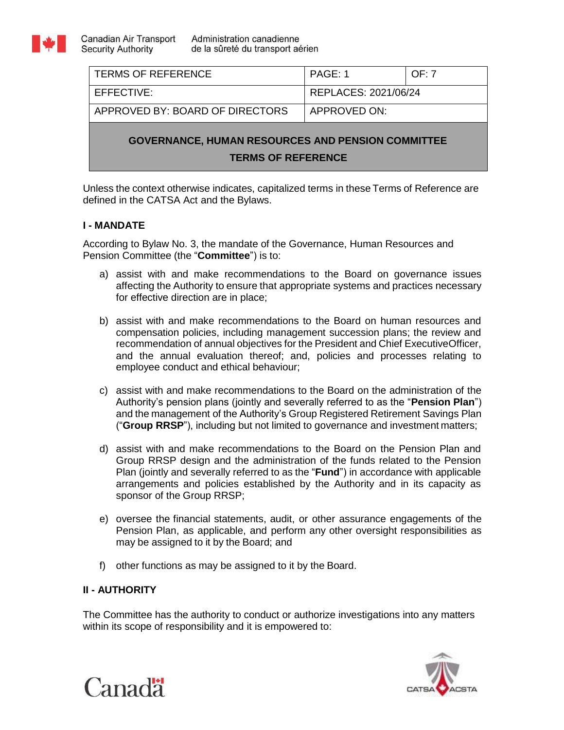

| <b>TERMS OF REFERENCE</b>                                                             | PAGE: 1              | OF: 7 |
|---------------------------------------------------------------------------------------|----------------------|-------|
| EFFECTIVE:                                                                            | REPLACES: 2021/06/24 |       |
| APPROVED BY: BOARD OF DIRECTORS                                                       | APPROVED ON:         |       |
| <b>GOVERNANCE, HUMAN RESOURCES AND PENSION COMMITTEE</b><br><b>TERMS OF REFERENCE</b> |                      |       |

Unless the context otherwise indicates, capitalized terms in these Terms of Reference are defined in the CATSA Act and the Bylaws.

# **I - MANDATE**

According to Bylaw No. 3, the mandate of the Governance, Human Resources and Pension Committee (the "**Committee**") is to:

- a) assist with and make recommendations to the Board on governance issues affecting the Authority to ensure that appropriate systems and practices necessary for effective direction are in place;
- b) assist with and make recommendations to the Board on human resources and compensation policies, including management succession plans; the review and recommendation of annual objectives for the President and Chief ExecutiveOfficer, and the annual evaluation thereof; and, policies and processes relating to employee conduct and ethical behaviour;
- c) assist with and make recommendations to the Board on the administration of the Authority's pension plans (jointly and severally referred to as the "**Pension Plan**") and the management of the Authority's Group Registered Retirement Savings Plan ("**Group RRSP**"), including but not limited to governance and investment matters;
- d) assist with and make recommendations to the Board on the Pension Plan and Group RRSP design and the administration of the funds related to the Pension Plan (jointly and severally referred to as the "**Fund**") in accordance with applicable arrangements and policies established by the Authority and in its capacity as sponsor of the Group RRSP;
- e) oversee the financial statements, audit, or other assurance engagements of the Pension Plan, as applicable, and perform any other oversight responsibilities as may be assigned to it by the Board; and
- f) other functions as may be assigned to it by the Board.

# **II - AUTHORITY**

The Committee has the authority to conduct or authorize investigations into any matters within its scope of responsibility and it is empowered to:



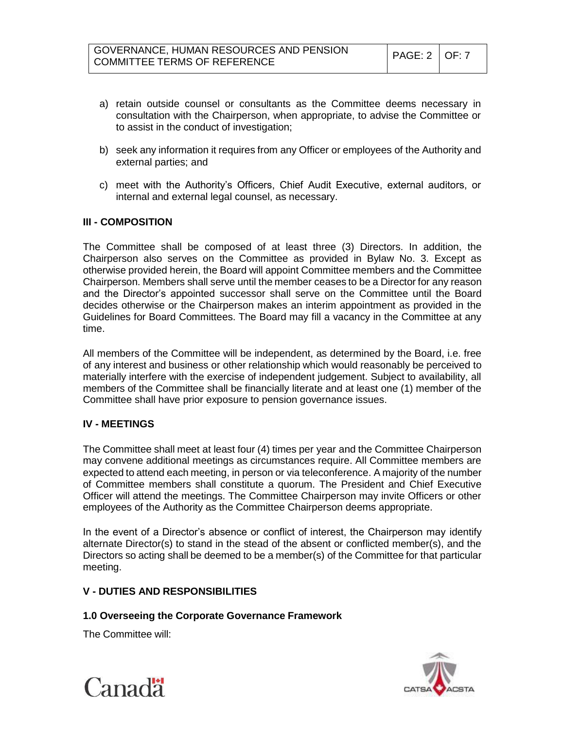- a) retain outside counsel or consultants as the Committee deems necessary in consultation with the Chairperson, when appropriate, to advise the Committee or to assist in the conduct of investigation;
- b) seek any information it requires from any Officer or employees of the Authority and external parties; and
- c) meet with the Authority's Officers, Chief Audit Executive, external auditors, or internal and external legal counsel, as necessary.

### **III - COMPOSITION**

The Committee shall be composed of at least three (3) Directors. In addition, the Chairperson also serves on the Committee as provided in Bylaw No. 3. Except as otherwise provided herein, the Board will appoint Committee members and the Committee Chairperson. Members shall serve until the member ceases to be a Director for any reason and the Director's appointed successor shall serve on the Committee until the Board decides otherwise or the Chairperson makes an interim appointment as provided in the Guidelines for Board Committees. The Board may fill a vacancy in the Committee at any time.

All members of the Committee will be independent, as determined by the Board, i.e. free of any interest and business or other relationship which would reasonably be perceived to materially interfere with the exercise of independent judgement. Subject to availability, all members of the Committee shall be financially literate and at least one (1) member of the Committee shall have prior exposure to pension governance issues.

# **IV - MEETINGS**

The Committee shall meet at least four (4) times per year and the Committee Chairperson may convene additional meetings as circumstances require. All Committee members are expected to attend each meeting, in person or via teleconference. A majority of the number of Committee members shall constitute a quorum. The President and Chief Executive Officer will attend the meetings. The Committee Chairperson may invite Officers or other employees of the Authority as the Committee Chairperson deems appropriate.

In the event of a Director's absence or conflict of interest, the Chairperson may identify alternate Director(s) to stand in the stead of the absent or conflicted member(s), and the Directors so acting shall be deemed to be a member(s) of the Committee for that particular meeting.

# **V - DUTIES AND RESPONSIBILITIES**

#### **1.0 Overseeing the Corporate Governance Framework**

The Committee will:



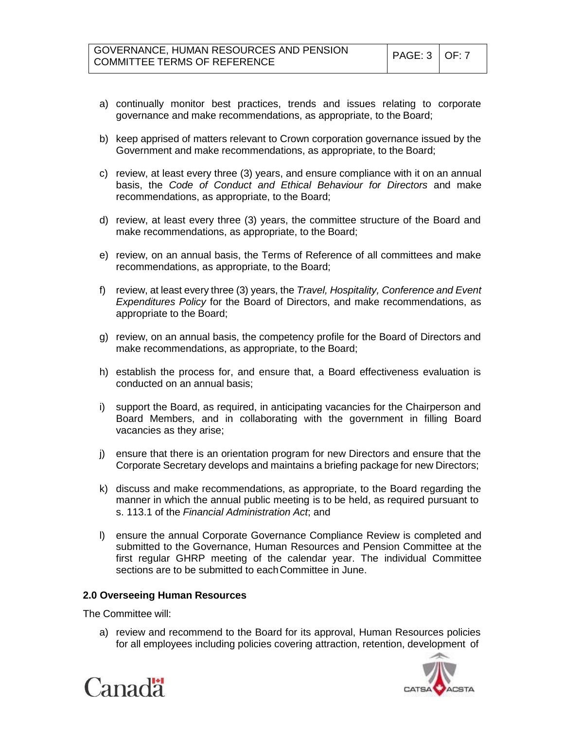- a) continually monitor best practices, trends and issues relating to corporate governance and make recommendations, as appropriate, to the Board;
- b) keep apprised of matters relevant to Crown corporation governance issued by the Government and make recommendations, as appropriate, to the Board;
- c) review, at least every three (3) years, and ensure compliance with it on an annual basis, the *Code of Conduct and Ethical Behaviour for Directors* and make recommendations, as appropriate, to the Board;
- d) review, at least every three (3) years, the committee structure of the Board and make recommendations, as appropriate, to the Board;
- e) review, on an annual basis, the Terms of Reference of all committees and make recommendations, as appropriate, to the Board;
- f) review, at least every three (3) years, the *Travel, Hospitality, Conference and Event Expenditures Policy* for the Board of Directors, and make recommendations, as appropriate to the Board;
- g) review, on an annual basis, the competency profile for the Board of Directors and make recommendations, as appropriate, to the Board;
- h) establish the process for, and ensure that, a Board effectiveness evaluation is conducted on an annual basis;
- i) support the Board, as required, in anticipating vacancies for the Chairperson and Board Members, and in collaborating with the government in filling Board vacancies as they arise;
- j) ensure that there is an orientation program for new Directors and ensure that the Corporate Secretary develops and maintains a briefing package for new Directors;
- k) discuss and make recommendations, as appropriate, to the Board regarding the manner in which the annual public meeting is to be held, as required pursuant to s. 113.1 of the *Financial Administration Act*; and
- l) ensure the annual Corporate Governance Compliance Review is completed and submitted to the Governance, Human Resources and Pension Committee at the first regular GHRP meeting of the calendar year. The individual Committee sections are to be submitted to each Committee in June.

# **2.0 Overseeing Human Resources**

The Committee will:

a) review and recommend to the Board for its approval, Human Resources policies for all employees including policies covering attraction, retention, development of



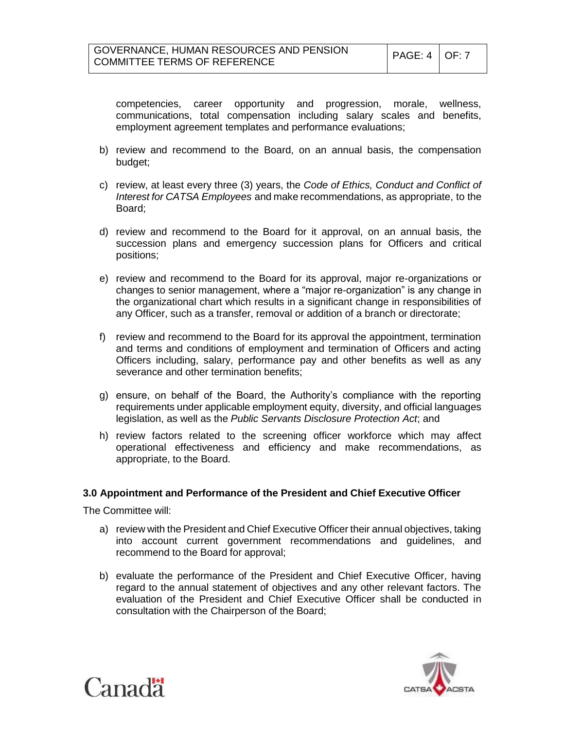competencies, career opportunity and progression, morale, wellness, communications, total compensation including salary scales and benefits, employment agreement templates and performance evaluations;

- b) review and recommend to the Board, on an annual basis, the compensation budget;
- c) review, at least every three (3) years, the *Code of Ethics, Conduct and Conflict of Interest for CATSA Employees* and make recommendations, as appropriate, to the Board;
- d) review and recommend to the Board for it approval, on an annual basis, the succession plans and emergency succession plans for Officers and critical positions;
- e) review and recommend to the Board for its approval, major re-organizations or changes to senior management, where a "major re-organization" is any change in the organizational chart which results in a significant change in responsibilities of any Officer, such as a transfer, removal or addition of a branch or directorate;
- f) review and recommend to the Board for its approval the appointment, termination and terms and conditions of employment and termination of Officers and acting Officers including, salary, performance pay and other benefits as well as any severance and other termination benefits;
- g) ensure, on behalf of the Board, the Authority's compliance with the reporting requirements under applicable employment equity, diversity, and official languages legislation, as well as the *Public Servants Disclosure Protection Act*; and
- h) review factors related to the screening officer workforce which may affect operational effectiveness and efficiency and make recommendations, as appropriate, to the Board.

#### **3.0 Appointment and Performance of the President and Chief Executive Officer**

The Committee will:

- a) review with the President and Chief Executive Officer their annual objectives, taking into account current government recommendations and guidelines, and recommend to the Board for approval;
- b) evaluate the performance of the President and Chief Executive Officer, having regard to the annual statement of objectives and any other relevant factors. The evaluation of the President and Chief Executive Officer shall be conducted in consultation with the Chairperson of the Board;



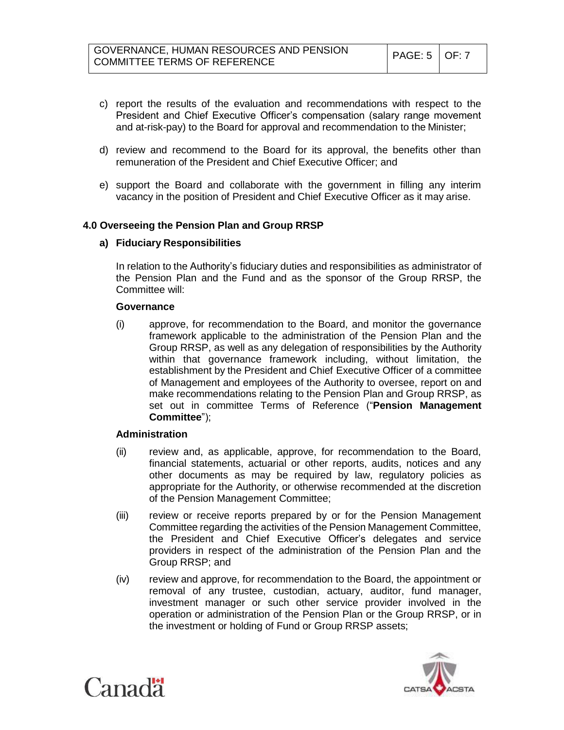- c) report the results of the evaluation and recommendations with respect to the President and Chief Executive Officer's compensation (salary range movement and at-risk-pay) to the Board for approval and recommendation to the Minister;
- d) review and recommend to the Board for its approval, the benefits other than remuneration of the President and Chief Executive Officer; and
- e) support the Board and collaborate with the government in filling any interim vacancy in the position of President and Chief Executive Officer as it may arise.

### **4.0 Overseeing the Pension Plan and Group RRSP**

#### **a) Fiduciary Responsibilities**

In relation to the Authority's fiduciary duties and responsibilities as administrator of the Pension Plan and the Fund and as the sponsor of the Group RRSP, the Committee will:

#### **Governance**

(i) approve, for recommendation to the Board, and monitor the governance framework applicable to the administration of the Pension Plan and the Group RRSP, as well as any delegation of responsibilities by the Authority within that governance framework including, without limitation, the establishment by the President and Chief Executive Officer of a committee of Management and employees of the Authority to oversee, report on and make recommendations relating to the Pension Plan and Group RRSP, as set out in committee Terms of Reference ("**Pension Management Committee**");

#### **Administration**

- (ii) review and, as applicable, approve, for recommendation to the Board, financial statements, actuarial or other reports, audits, notices and any other documents as may be required by law, regulatory policies as appropriate for the Authority, or otherwise recommended at the discretion of the Pension Management Committee;
- (iii) review or receive reports prepared by or for the Pension Management Committee regarding the activities of the Pension Management Committee, the President and Chief Executive Officer's delegates and service providers in respect of the administration of the Pension Plan and the Group RRSP; and
- (iv) review and approve, for recommendation to the Board, the appointment or removal of any trustee, custodian, actuary, auditor, fund manager, investment manager or such other service provider involved in the operation or administration of the Pension Plan or the Group RRSP, or in the investment or holding of Fund or Group RRSP assets;



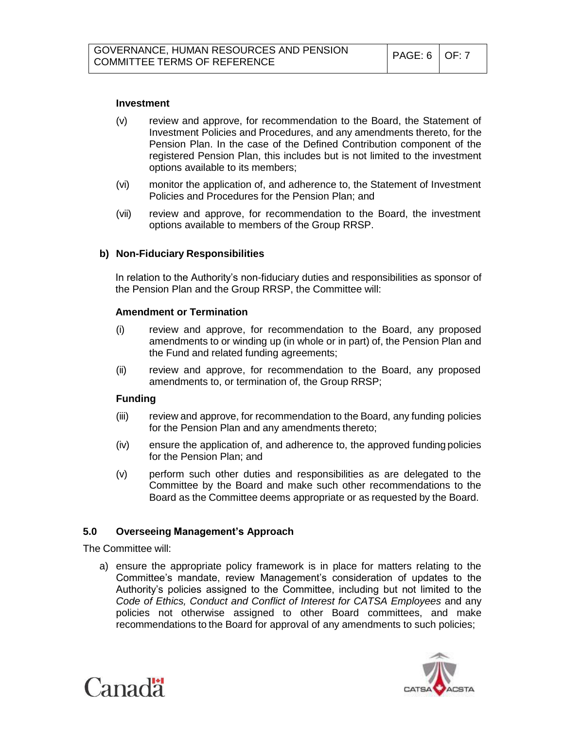### **Investment**

- (v) review and approve, for recommendation to the Board, the Statement of Investment Policies and Procedures, and any amendments thereto, for the Pension Plan. In the case of the Defined Contribution component of the registered Pension Plan, this includes but is not limited to the investment options available to its members;
- (vi) monitor the application of, and adherence to, the Statement of Investment Policies and Procedures for the Pension Plan; and
- (vii) review and approve, for recommendation to the Board, the investment options available to members of the Group RRSP.

### **b) Non-Fiduciary Responsibilities**

In relation to the Authority's non-fiduciary duties and responsibilities as sponsor of the Pension Plan and the Group RRSP, the Committee will:

#### **Amendment or Termination**

- (i) review and approve, for recommendation to the Board, any proposed amendments to or winding up (in whole or in part) of, the Pension Plan and the Fund and related funding agreements;
- (ii) review and approve, for recommendation to the Board, any proposed amendments to, or termination of, the Group RRSP;

### **Funding**

- (iii) review and approve, for recommendation to the Board, any funding policies for the Pension Plan and any amendments thereto;
- (iv) ensure the application of, and adherence to, the approved funding policies for the Pension Plan; and
- (v) perform such other duties and responsibilities as are delegated to the Committee by the Board and make such other recommendations to the Board as the Committee deems appropriate or as requested by the Board.

#### **5.0 Overseeing Management's Approach**

The Committee will:

a) ensure the appropriate policy framework is in place for matters relating to the Committee's mandate, review Management's consideration of updates to the Authority's policies assigned to the Committee, including but not limited to the *Code of Ethics, Conduct and Conflict of Interest for CATSA Employees* and any policies not otherwise assigned to other Board committees, and make recommendations to the Board for approval of any amendments to such policies;